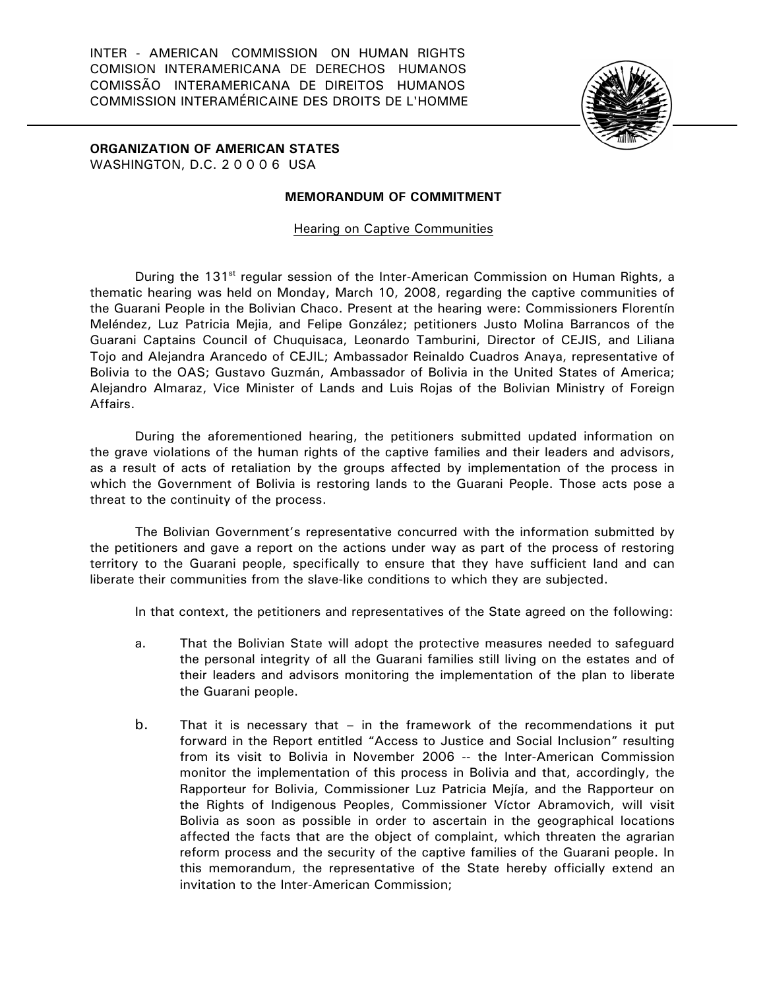INTER - AMERICAN COMMISSION ON HUMAN RIGHTS COMISION INTERAMERICANA DE DERECHOS HUMANOS COMISSÃO INTERAMERICANA DE DIREITOS HUMANOS COMMISSION INTERAMÉRICAINE DES DROITS DE L'HOMME



**ORGANIZATION OF AMERICAN STATES**  WASHINGTON, D.C. 2 0 0 0 6 USA

## **MEMORANDUM OF COMMITMENT**

Hearing on Captive Communities

During the 131<sup>st</sup> regular session of the Inter-American Commission on Human Rights, a thematic hearing was held on Monday, March 10, 2008, regarding the captive communities of the Guarani People in the Bolivian Chaco. Present at the hearing were: Commissioners Florentín Meléndez, Luz Patricia Mejia, and Felipe González; petitioners Justo Molina Barrancos of the Guarani Captains Council of Chuquisaca, Leonardo Tamburini, Director of CEJIS, and Liliana Tojo and Alejandra Arancedo of CEJIL; Ambassador Reinaldo Cuadros Anaya, representative of Bolivia to the OAS; Gustavo Guzmán, Ambassador of Bolivia in the United States of America; Alejandro Almaraz, Vice Minister of Lands and Luis Rojas of the Bolivian Ministry of Foreign Affairs.

During the aforementioned hearing, the petitioners submitted updated information on the grave violations of the human rights of the captive families and their leaders and advisors, as a result of acts of retaliation by the groups affected by implementation of the process in which the Government of Bolivia is restoring lands to the Guarani People. Those acts pose a threat to the continuity of the process.

The Bolivian Government's representative concurred with the information submitted by the petitioners and gave a report on the actions under way as part of the process of restoring territory to the Guarani people, specifically to ensure that they have sufficient land and can liberate their communities from the slave-like conditions to which they are subjected.

In that context, the petitioners and representatives of the State agreed on the following:

- a. That the Bolivian State will adopt the protective measures needed to safeguard the personal integrity of all the Guarani families still living on the estates and of their leaders and advisors monitoring the implementation of the plan to liberate the Guarani people.
- b. That it is necessary that in the framework of the recommendations it put forward in the Report entitled "Access to Justice and Social Inclusion" resulting from its visit to Bolivia in November 2006 -- the Inter-American Commission monitor the implementation of this process in Bolivia and that, accordingly, the Rapporteur for Bolivia, Commissioner Luz Patricia Mejía, and the Rapporteur on the Rights of Indigenous Peoples, Commissioner Víctor Abramovich, will visit Bolivia as soon as possible in order to ascertain in the geographical locations affected the facts that are the object of complaint, which threaten the agrarian reform process and the security of the captive families of the Guarani people. In this memorandum, the representative of the State hereby officially extend an invitation to the Inter-American Commission;